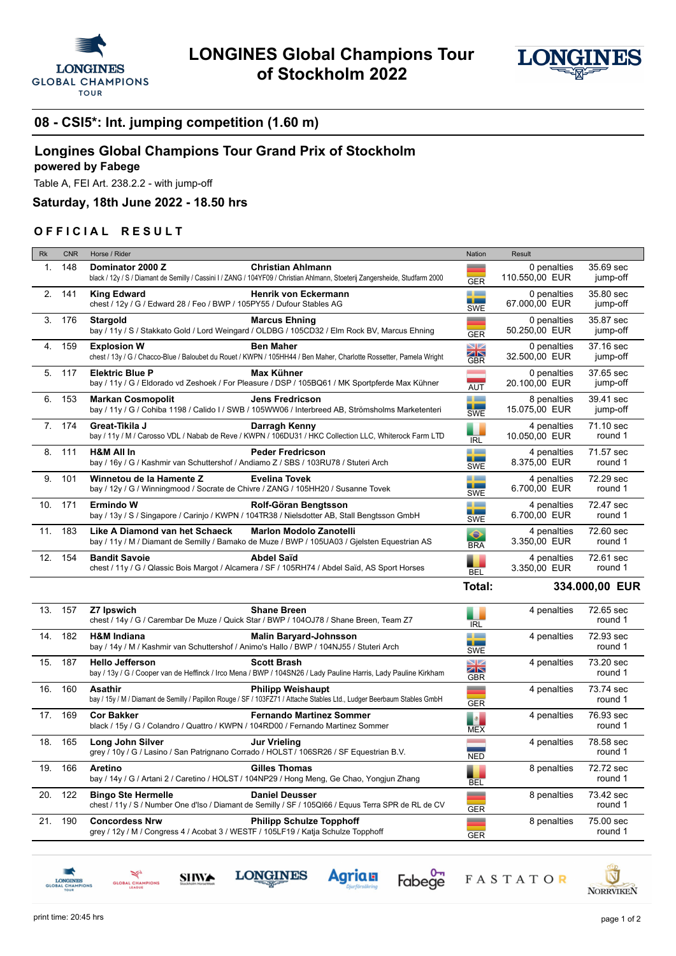



## **08 - CSI5\*: Int. jumping competition (1.60 m)**

## **Longines Global Champions Tour Grand Prix of Stockholm**

## **powered by Fabege**

Table A, FEI Art. 238.2.2 - with jump-off

**Saturday, 18th June 2022 - 18.50 hrs**

## **OFFICIAL RESULT**

| <b>Rk</b> | <b>CNR</b> | Horse / Rider                                                                                                                                                                | Nation                                   | Result                        |                       |
|-----------|------------|------------------------------------------------------------------------------------------------------------------------------------------------------------------------------|------------------------------------------|-------------------------------|-----------------------|
| 1.        | 148        | Dominator 2000 Z<br><b>Christian Ahlmann</b><br>black / 12y / S / Diamant de Semilly / Cassini I / ZANG / 104YF09 / Christian Ahlmann, Stoeterij Zangersheide, Studfarm 2000 | <b>GER</b>                               | 0 penalties<br>110.550,00 EUR | 35.69 sec<br>jump-off |
| 2.        | 141        | <b>King Edward</b><br><b>Henrik von Eckermann</b><br>chest / 12y / G / Edward 28 / Feo / BWP / 105PY55 / Dufour Stables AG                                                   | a ba<br>--<br><b>SWE</b>                 | 0 penalties<br>67.000,00 EUR  | 35.80 sec<br>jump-off |
| 3.        | 176        | Stargold<br><b>Marcus Ehning</b><br>bay / 11y / S / Stakkato Gold / Lord Weingard / OLDBG / 105CD32 / Elm Rock BV, Marcus Ehning                                             | ▃<br><b>GER</b>                          | 0 penalties<br>50.250,00 EUR  | 35.87 sec<br>jump-off |
| 4.        | 159        | <b>Explosion W</b><br><b>Ben Maher</b><br>chest / 13y / G / Chacco-Blue / Baloubet du Rouet / KWPN / 105HH44 / Ben Maher, Charlotte Rossetter, Pamela Wright                 | $\square$<br>ZN<br><b>GBR</b>            | 0 penalties<br>32.500,00 EUR  | 37.16 sec<br>jump-off |
| 5.        | 117        | Max Kühner<br><b>Elektric Blue P</b><br>bay / 11y / G / Eldorado vd Zeshoek / For Pleasure / DSP / 105BQ61 / MK Sportpferde Max Kühner                                       | <b>AUT</b>                               | 0 penalties<br>20.100,00 EUR  | 37.65 sec<br>jump-off |
| 6.        | 153        | <b>Markan Cosmopolit</b><br><b>Jens Fredricson</b><br>bay / 11y / G / Cohiba 1198 / Calido I / SWB / 105WW06 / Interbreed AB, Strömsholms Marketenteri                       | a kacamatan<br>--<br><b>SWE</b>          | 8 penalties<br>15.075,00 EUR  | 39.41 sec<br>jump-off |
| 7.        | 174        | Great-Tikila J<br>Darragh Kenny<br>bay / 11y / M / Carosso VDL / Nabab de Reve / KWPN / 106DU31 / HKC Collection LLC, Whiterock Farm LTD                                     | <b>IRL</b>                               | 4 penalties<br>10.050,00 EUR  | 71.10 sec<br>round 1  |
| 8.        | 111        | <b>Peder Fredricson</b><br><b>H&amp;M All In</b><br>bay / 16y / G / Kashmir van Schuttershof / Andiamo Z / SBS / 103RU78 / Stuteri Arch                                      | <b>R</b> 1999<br>a po<br>SWE             | 4 penalties<br>8.375,00 EUR   | 71.57 sec<br>round 1  |
| 9.        | 101        | Winnetou de la Hamente Z<br><b>Evelina Tovek</b><br>bay / 12y / G / Winningmood / Socrate de Chivre / ZANG / 105HH20 / Susanne Tovek                                         | <u>a Lo</u><br>--<br><b>SWE</b>          | 4 penalties<br>6.700,00 EUR   | 72.29 sec<br>round 1  |
| 10.       | 171        | <b>Ermindo W</b><br>Rolf-Göran Bengtsson<br>bay / 13y / S / Singapore / Carinjo / KWPN / 104TR38 / Nielsdotter AB, Stall Bengtsson GmbH                                      | <b>State Street</b><br>- -<br><b>SWE</b> | 4 penalties<br>6.700,00 EUR   | 72.47 sec<br>round 1  |
| 11.       | 183        | Like A Diamond van het Schaeck<br><b>Marlon Modolo Zanotelli</b><br>bay / 11y / M / Diamant de Semilly / Bamako de Muze / BWP / 105UA03 / Gjelsten Equestrian AS             | $\bullet$                                | 4 penalties<br>3.350,00 EUR   | 72.60 sec<br>round 1  |
|           |            |                                                                                                                                                                              | <b>BRA</b>                               |                               |                       |
| 12.       | 154        | <b>Bandit Savoie</b><br><b>Abdel Saïd</b><br>chest / 11y / G / Qlassic Bois Margot / Alcamera / SF / 105RH74 / Abdel Saïd, AS Sport Horses                                   | <b>BEL</b>                               | 4 penalties<br>3.350,00 EUR   | 72.61 sec<br>round 1  |
|           |            |                                                                                                                                                                              | <b>Total:</b>                            |                               | 334.000,00 EUR        |
| 13.       | 157        | Z7 Ipswich<br><b>Shane Breen</b><br>chest / 14y / G / Carembar De Muze / Quick Star / BWP / 104OJ78 / Shane Breen, Team Z7                                                   |                                          | 4 penalties                   | 72.65 sec<br>round 1  |
| 14.       | 182        | <b>H&amp;M Indiana</b><br><b>Malin Baryard-Johnsson</b><br>bay / 14y / M / Kashmir van Schuttershof / Animo's Hallo / BWP / 104NJ55 / Stuteri Arch                           | <b>IRL</b><br>a ka<br>a an<br><b>SWE</b> | 4 penalties                   | 72.93 sec<br>round 1  |
| 15.       | 187        | <b>Hello Jefferson</b><br><b>Scott Brash</b><br>bay / 13y / G / Cooper van de Heffinck / Irco Mena / BWP / 104SN26 / Lady Pauline Harris, Lady Pauline Kirkham               | $\square$<br>$\times$<br><b>GBR</b>      | 4 penalties                   | 73.20 sec<br>round 1  |
| 16.       | 160        | <b>Philipp Weishaupt</b><br>Asathir<br>bay / 15y / M / Diamant de Semilly / Papillon Rouge / SF / 103FZ71 / Attache Stables Ltd., Ludger Beerbaum Stables GmbH               | 一<br><b>GER</b>                          | 4 penalties                   | 73.74 sec<br>round 1  |
| 17.       | 169        | <b>Cor Bakker</b><br><b>Fernando Martinez Sommer</b><br>black / 15y / G / Colandro / Quattro / KWPN / 104RD00 / Fernando Martinez Sommer                                     | $\mathcal{S}$<br><b>MEX</b>              | 4 penalties                   | 76.93 sec<br>round 1  |
| 18.       | 165        | <b>Long John Silver</b><br>Jur Vrieling<br>grey / 10y / G / Lasino / San Patrignano Corrado / HOLST / 106SR26 / SF Equestrian B.V.                                           | <b>Contractor</b><br><b>NED</b>          | 4 penalties                   | 78.58 sec<br>round 1  |
| 19.       | 166        | <b>Gilles Thomas</b><br>Aretino<br>bay / 14y / G / Artani 2 / Caretino / HOLST / 104NP29 / Hong Meng, Ge Chao, Yongjun Zhang                                                 | BEL                                      | 8 penalties                   | 72.72 sec<br>round 1  |
| 20.       | 122        | <b>Bingo Ste Hermelle</b><br><b>Daniel Deusser</b><br>chest / 11y / S / Number One d'Iso / Diamant de Semilly / SF / 105QI66 / Equus Terra SPR de RL de CV                   | <b>GER</b>                               | 8 penalties                   | 73.42 sec<br>round 1  |

**Agrian** 

Fabege<sup>1</sup>

FASTATOR

**LONGINES** 

**SHWA**